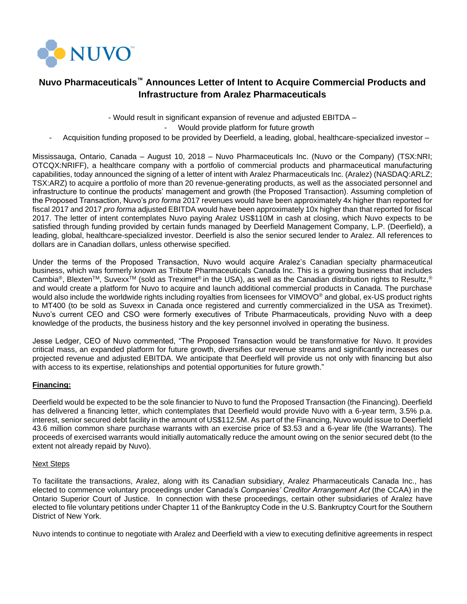

# **Nuvo Pharmaceuticals™ Announces Letter of Intent to Acquire Commercial Products and Infrastructure from Aralez Pharmaceuticals**

- Would result in significant expansion of revenue and adjusted EBITDA –

Would provide platform for future growth

Acquisition funding proposed to be provided by Deerfield, a leading, global, healthcare-specialized investor -

Mississauga, Ontario, Canada – August 10, 2018 – Nuvo Pharmaceuticals Inc. (Nuvo or the Company) (TSX:NRI; OTCQX:NRIFF), a healthcare company with a portfolio of commercial products and pharmaceutical manufacturing capabilities, today announced the signing of a letter of intent with Aralez Pharmaceuticals Inc. (Aralez) (NASDAQ:ARLZ; TSX:ARZ) to acquire a portfolio of more than 20 revenue-generating products, as well as the associated personnel and infrastructure to continue the products' management and growth (the Proposed Transaction). Assuming completion of the Proposed Transaction, Nuvo's *pro forma* 2017 revenues would have been approximately 4x higher than reported for fiscal 2017 and 2017 *pro forma* adjusted EBITDA would have been approximately 10x higher than that reported for fiscal 2017. The letter of intent contemplates Nuvo paying Aralez US\$110M in cash at closing, which Nuvo expects to be satisfied through funding provided by certain funds managed by Deerfield Management Company, L.P. (Deerfield), a leading, global, healthcare-specialized investor. Deerfield is also the senior secured lender to Aralez. All references to dollars are in Canadian dollars, unless otherwise specified.

Under the terms of the Proposed Transaction, Nuvo would acquire Aralez's Canadian specialty pharmaceutical business, which was formerly known as Tribute Pharmaceuticals Canada Inc. This is a growing business that includes Cambia®, Blexten™, Suvexx<sup>™</sup> (sold as Treximet® in the USA), as well as the Canadian distribution rights to Resultz,<sup>®</sup> and would create a platform for Nuvo to acquire and launch additional commercial products in Canada. The purchase would also include the worldwide rights including royalties from licensees for VIMOVO<sup>®</sup> and global, ex-US product rights to MT400 (to be sold as Suvexx in Canada once registered and currently commercialized in the USA as Treximet). Nuvo's current CEO and CSO were formerly executives of Tribute Pharmaceuticals, providing Nuvo with a deep knowledge of the products, the business history and the key personnel involved in operating the business.

Jesse Ledger, CEO of Nuvo commented, "The Proposed Transaction would be transformative for Nuvo. It provides critical mass, an expanded platform for future growth, diversifies our revenue streams and significantly increases our projected revenue and adjusted EBITDA. We anticipate that Deerfield will provide us not only with financing but also with access to its expertise, relationships and potential opportunities for future growth."

### **Financing:**

Deerfield would be expected to be the sole financier to Nuvo to fund the Proposed Transaction (the Financing). Deerfield has delivered a financing letter, which contemplates that Deerfield would provide Nuvo with a 6-year term, 3.5% p.a. interest, senior secured debt facility in the amount of US\$112.5M. As part of the Financing, Nuvo would issue to Deerfield 43.6 million common share purchase warrants with an exercise price of \$3.53 and a 6-year life (the Warrants). The proceeds of exercised warrants would initially automatically reduce the amount owing on the senior secured debt (to the extent not already repaid by Nuvo).

### Next Steps

To facilitate the transactions, Aralez, along with its Canadian subsidiary, Aralez Pharmaceuticals Canada Inc., has elected to commence voluntary proceedings under Canada's *Companies' Creditor Arrangement Act* (the CCAA) in the Ontario Superior Court of Justice. In connection with these proceedings, certain other subsidiaries of Aralez have elected to file voluntary petitions under Chapter 11 of the Bankruptcy Code in the U.S. Bankruptcy Court for the Southern District of New York.

Nuvo intends to continue to negotiate with Aralez and Deerfield with a view to executing definitive agreements in respect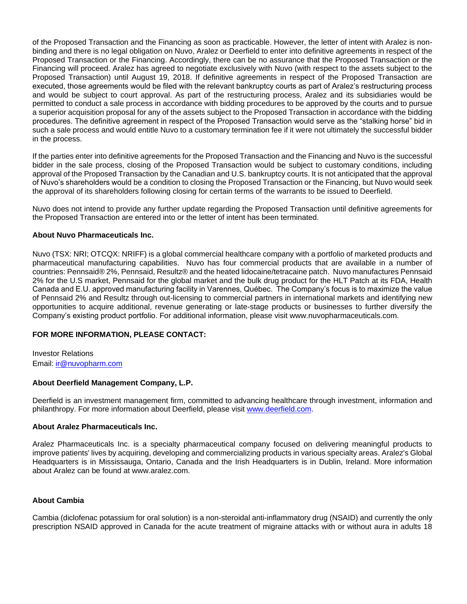of the Proposed Transaction and the Financing as soon as practicable. However, the letter of intent with Aralez is nonbinding and there is no legal obligation on Nuvo, Aralez or Deerfield to enter into definitive agreements in respect of the Proposed Transaction or the Financing. Accordingly, there can be no assurance that the Proposed Transaction or the Financing will proceed. Aralez has agreed to negotiate exclusively with Nuvo (with respect to the assets subject to the Proposed Transaction) until August 19, 2018. If definitive agreements in respect of the Proposed Transaction are executed, those agreements would be filed with the relevant bankruptcy courts as part of Aralez's restructuring process and would be subject to court approval. As part of the restructuring process, Aralez and its subsidiaries would be permitted to conduct a sale process in accordance with bidding procedures to be approved by the courts and to pursue a superior acquisition proposal for any of the assets subject to the Proposed Transaction in accordance with the bidding procedures. The definitive agreement in respect of the Proposed Transaction would serve as the "stalking horse" bid in such a sale process and would entitle Nuvo to a customary termination fee if it were not ultimately the successful bidder in the process.

If the parties enter into definitive agreements for the Proposed Transaction and the Financing and Nuvo is the successful bidder in the sale process, closing of the Proposed Transaction would be subject to customary conditions, including approval of the Proposed Transaction by the Canadian and U.S. bankruptcy courts. It is not anticipated that the approval of Nuvo's shareholders would be a condition to closing the Proposed Transaction or the Financing, but Nuvo would seek the approval of its shareholders following closing for certain terms of the warrants to be issued to Deerfield.

Nuvo does not intend to provide any further update regarding the Proposed Transaction until definitive agreements for the Proposed Transaction are entered into or the letter of intent has been terminated.

#### **About Nuvo Pharmaceuticals Inc.**

Nuvo (TSX: NRI; OTCQX: NRIFF) is a global commercial healthcare company with a portfolio of marketed products and pharmaceutical manufacturing capabilities. Nuvo has four commercial products that are available in a number of countries: Pennsaid® 2%, Pennsaid, Resultz® and the heated lidocaine/tetracaine patch. Nuvo manufactures Pennsaid 2% for the U.S market, Pennsaid for the global market and the bulk drug product for the HLT Patch at its FDA, Health Canada and E.U. approved manufacturing facility in Varennes, Québec. The Company's focus is to maximize the value of Pennsaid 2% and Resultz through out-licensing to commercial partners in international markets and identifying new opportunities to acquire additional, revenue generating or late-stage products or businesses to further diversify the Company's existing product portfolio. For additional information, please visit www.nuvopharmaceuticals.com.

#### **FOR MORE INFORMATION, PLEASE CONTACT:**

Investor Relations Email: [ir@nuvopharm.com](mailto:ir@nuvopharm.com)

#### **About Deerfield Management Company, L.P.**

Deerfield is an investment management firm, committed to advancing healthcare through investment, information and philanthropy. For more information about Deerfield, please visit [www.deerfield.com.](http://www.deerfield.com/)

#### **About Aralez Pharmaceuticals Inc.**

Aralez Pharmaceuticals Inc. is a specialty pharmaceutical company focused on delivering meaningful products to improve patients' lives by acquiring, developing and commercializing products in various specialty areas. Aralez's Global Headquarters is in Mississauga, Ontario, Canada and the Irish Headquarters is in Dublin, Ireland. More information about Aralez can be found at www.aralez.com.

#### **About Cambia**

Cambia (diclofenac potassium for oral solution) is a non-steroidal anti-inflammatory drug (NSAID) and currently the only prescription NSAID approved in Canada for the acute treatment of migraine attacks with or without aura in adults 18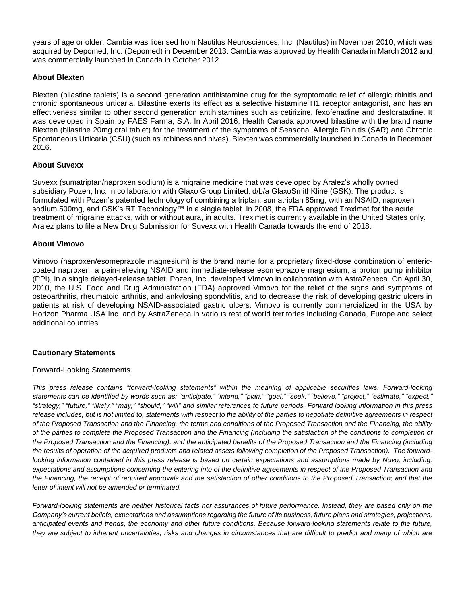years of age or older. Cambia was licensed from Nautilus Neurosciences, Inc. (Nautilus) in November 2010, which was acquired by Depomed, Inc. (Depomed) in December 2013. Cambia was approved by Health Canada in March 2012 and was commercially launched in Canada in October 2012.

# **About Blexten**

Blexten (bilastine tablets) is a second generation antihistamine drug for the symptomatic relief of allergic rhinitis and chronic spontaneous urticaria. Bilastine exerts its effect as a selective histamine H1 receptor antagonist, and has an effectiveness similar to other second generation antihistamines such as cetirizine, fexofenadine and desloratadine. It was developed in Spain by FAES Farma, S.A. In April 2016, Health Canada approved bilastine with the brand name Blexten (bilastine 20mg oral tablet) for the treatment of the symptoms of Seasonal Allergic Rhinitis (SAR) and Chronic Spontaneous Urticaria (CSU) (such as itchiness and hives). Blexten was commercially launched in Canada in December 2016.

# **About Suvexx**

Suvexx (sumatriptan/naproxen sodium) is a migraine medicine that was developed by Aralez's wholly owned subsidiary Pozen, Inc. in collaboration with Glaxo Group Limited, d/b/a GlaxoSmithKline (GSK). The product is formulated with Pozen's patented technology of combining a triptan, sumatriptan 85mg, with an NSAID, naproxen sodium 500mg, and GSK's RT Technology™ in a single tablet. In 2008, the FDA approved Treximet for the acute treatment of migraine attacks, with or without aura, in adults. Treximet is currently available in the United States only. Aralez plans to file a New Drug Submission for Suvexx with Health Canada towards the end of 2018.

# **About Vimovo**

Vimovo (naproxen/esomeprazole magnesium) is the brand name for a proprietary fixed-dose combination of entericcoated naproxen, a pain-relieving NSAID and immediate-release esomeprazole magnesium, a proton pump inhibitor (PPI), in a single delayed-release tablet. Pozen, Inc. developed Vimovo in collaboration with AstraZeneca. On April 30, 2010, the U.S. Food and Drug Administration (FDA) approved Vimovo for the relief of the signs and symptoms of osteoarthritis, rheumatoid arthritis, and ankylosing spondylitis, and to decrease the risk of developing gastric ulcers in patients at risk of developing NSAID-associated gastric ulcers. Vimovo is currently commercialized in the USA by Horizon Pharma USA Inc. and by AstraZeneca in various rest of world territories including Canada, Europe and select additional countries.

# **Cautionary Statements**

# Forward-Looking Statements

*This press release contains "forward-looking statements" within the meaning of applicable securities laws. Forward-looking statements can be identified by words such as: "anticipate," "intend," "plan," "goal," "seek," "believe," "project," "estimate," "expect," "strategy," "future," "likely," "may," "should," "will" and similar references to future periods. Forward looking information in this press release includes, but is not limited to, statements with respect to the ability of the parties to negotiate definitive agreements in respect of the Proposed Transaction and the Financing, the terms and conditions of the Proposed Transaction and the Financing, the ability of the parties to complete the Proposed Transaction and the Financing (including the satisfaction of the conditions to completion of the Proposed Transaction and the Financing), and the anticipated benefits of the Proposed Transaction and the Financing (including the results of operation of the acquired products and related assets following completion of the Proposed Transaction). The forwardlooking information contained in this press release is based on certain expectations and assumptions made by Nuvo, including: expectations and assumptions concerning the entering into of the definitive agreements in respect of the Proposed Transaction and the Financing, the receipt of required approvals and the satisfaction of other conditions to the Proposed Transaction; and that the letter of intent will not be amended or terminated.* 

*Forward-looking statements are neither historical facts nor assurances of future performance. Instead, they are based only on the Company's current beliefs, expectations and assumptions regarding the future of its business, future plans and strategies, projections, anticipated events and trends, the economy and other future conditions. Because forward-looking statements relate to the future, they are subject to inherent uncertainties, risks and changes in circumstances that are difficult to predict and many of which are*